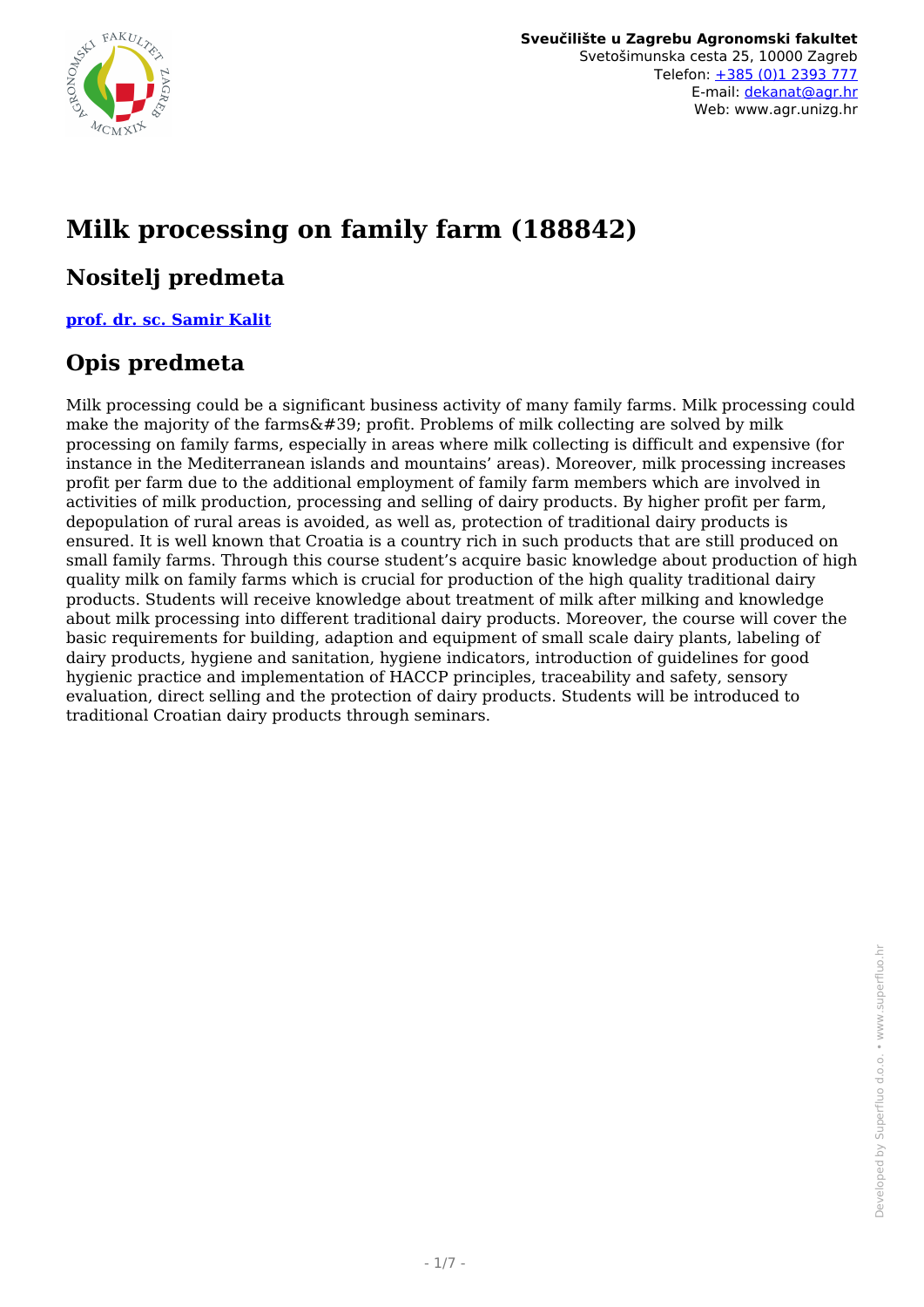

# **Milk processing on family farm (188842)**

## **Nositelj predmeta**

**[prof. dr. sc. Samir Kalit](/hr/member/75)**

## **Opis predmeta**

Milk processing could be a significant business activity of many family farms. Milk processing could make the majority of the farms $\&\#39$ ; profit. Problems of milk collecting are solved by milk processing on family farms, especially in areas where milk collecting is difficult and expensive (for instance in the Mediterranean islands and mountains' areas). Moreover, milk processing increases profit per farm due to the additional employment of family farm members which are involved in activities of milk production, processing and selling of dairy products. By higher profit per farm, depopulation of rural areas is avoided, as well as, protection of traditional dairy products is ensured. It is well known that Croatia is a country rich in such products that are still produced on small family farms. Through this course student's acquire basic knowledge about production of high quality milk on family farms which is crucial for production of the high quality traditional dairy products. Students will receive knowledge about treatment of milk after milking and knowledge about milk processing into different traditional dairy products. Moreover, the course will cover the basic requirements for building, adaption and equipment of small scale dairy plants, labeling of dairy products, hygiene and sanitation, hygiene indicators, introduction of guidelines for good hygienic practice and implementation of HACCP principles, traceability and safety, sensory evaluation, direct selling and the protection of dairy products. Students will be introduced to traditional Croatian dairy products through seminars.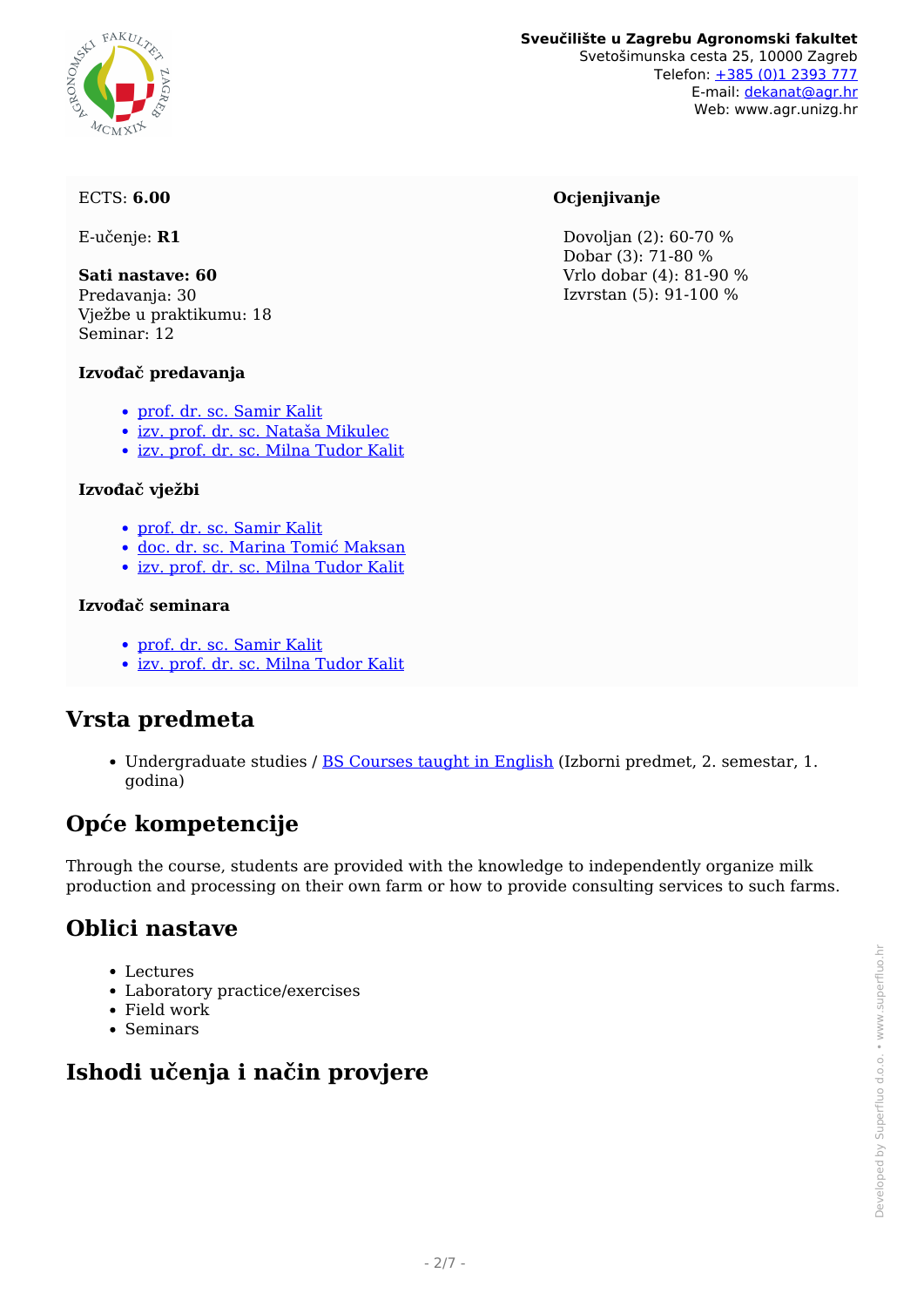# ARCHITECTURE REAL PROPERTY WCMX

#### **Sveučilište u Zagrebu Agronomski fakultet** Svetošimunska cesta 25, 10000 Zagreb Telefon: [+385 \(0\)1 2393 777](tel:+38512393777) E-mail: [dekanat@agr.hr](mailto:dekanat@agr.hr) Web: www.agr.unizg.hr

#### ECTS: **6.00**

E-učenje: **R1**

**Sati nastave: 60** Predavanja: 30 Vježbe u praktikumu: 18 Seminar: 12

#### **Izvođač predavanja**

- [prof. dr. sc. Samir Kalit](/hr/member/75)
- [izv. prof. dr. sc. Nataša Mikulec](/hr/member/254)
- [izv. prof. dr. sc. Milna Tudor Kalit](/hr/member/284)

#### **Izvođač vježbi**

- [prof. dr. sc. Samir Kalit](/hr/member/75)
- [doc. dr. sc. Marina Tomić Maksan](/hr/member/170)
- [izv. prof. dr. sc. Milna Tudor Kalit](/hr/member/284)

#### **Izvođač seminara**

- [prof. dr. sc. Samir Kalit](/hr/member/75)
- [izv. prof. dr. sc. Milna Tudor Kalit](/hr/member/284)

## **Vrsta predmeta**

Undergraduate studies / [BS Courses taught in English](/hr/study/en/4/BS+Courses+taught+in+English) (Izborni predmet, 2. semestar, 1. godina)

## **Opće kompetencije**

Through the course, students are provided with the knowledge to independently organize milk production and processing on their own farm or how to provide consulting services to such farms.

## **Oblici nastave**

- Lectures
- Laboratory practice/exercises
- Field work
- Seminars

# **Ishodi učenja i način provjere**

#### **Ocjenjivanje**

 Dovoljan (2): 60-70 % Dobar (3): 71-80 % Vrlo dobar (4): 81-90 % Izvrstan (5): 91-100 %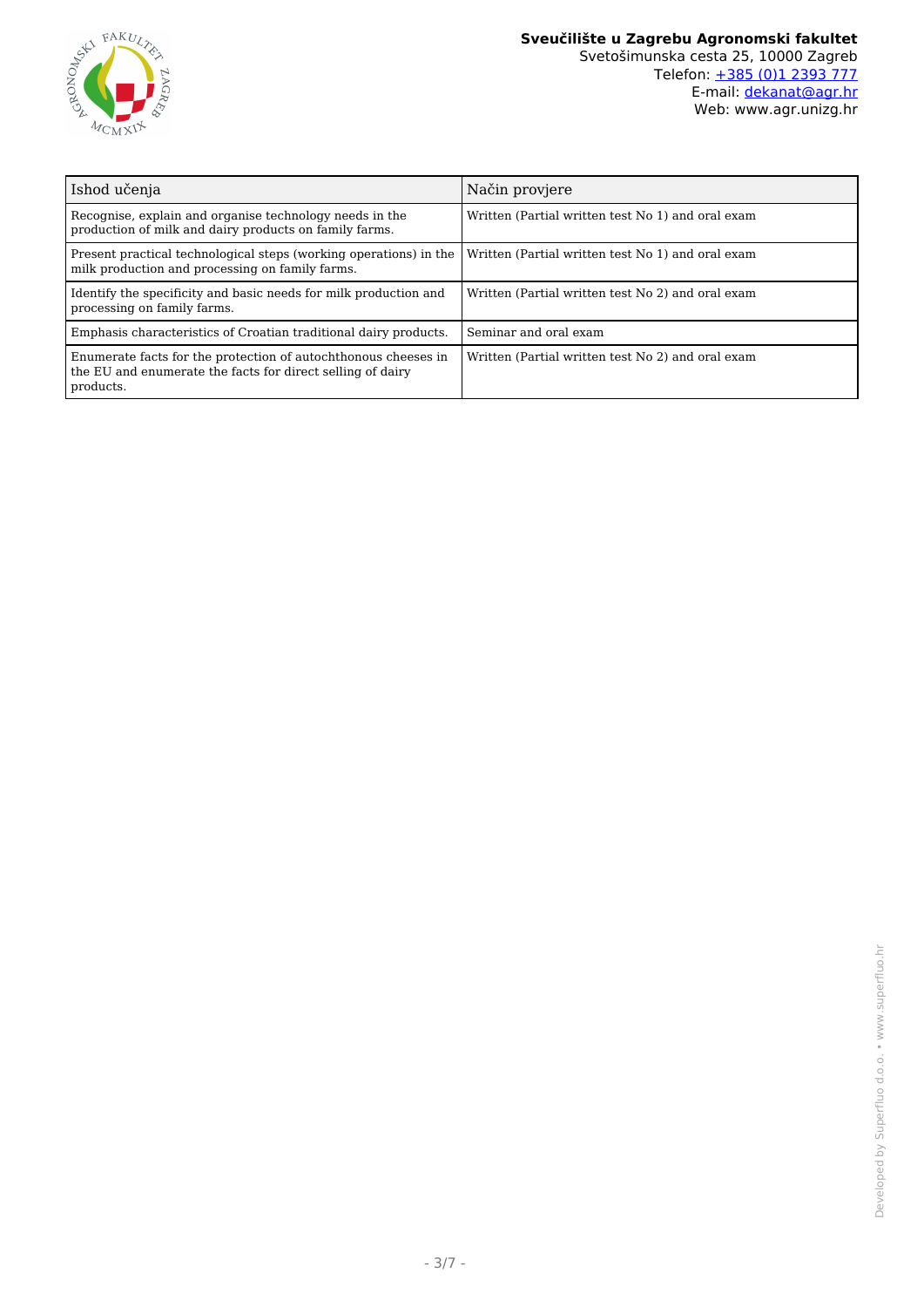

| Ishod učenja                                                                                                                              | Način provjere                                    |
|-------------------------------------------------------------------------------------------------------------------------------------------|---------------------------------------------------|
| Recognise, explain and organise technology needs in the<br>production of milk and dairy products on family farms.                         | Written (Partial written test No 1) and oral exam |
| Present practical technological steps (working operations) in the<br>milk production and processing on family farms.                      | Written (Partial written test No 1) and oral exam |
| Identify the specificity and basic needs for milk production and<br>processing on family farms.                                           | Written (Partial written test No 2) and oral exam |
| Emphasis characteristics of Croatian traditional dairy products.                                                                          | Seminar and oral exam                             |
| Enumerate facts for the protection of autochthonous cheeses in<br>the EU and enumerate the facts for direct selling of dairy<br>products. | Written (Partial written test No 2) and oral exam |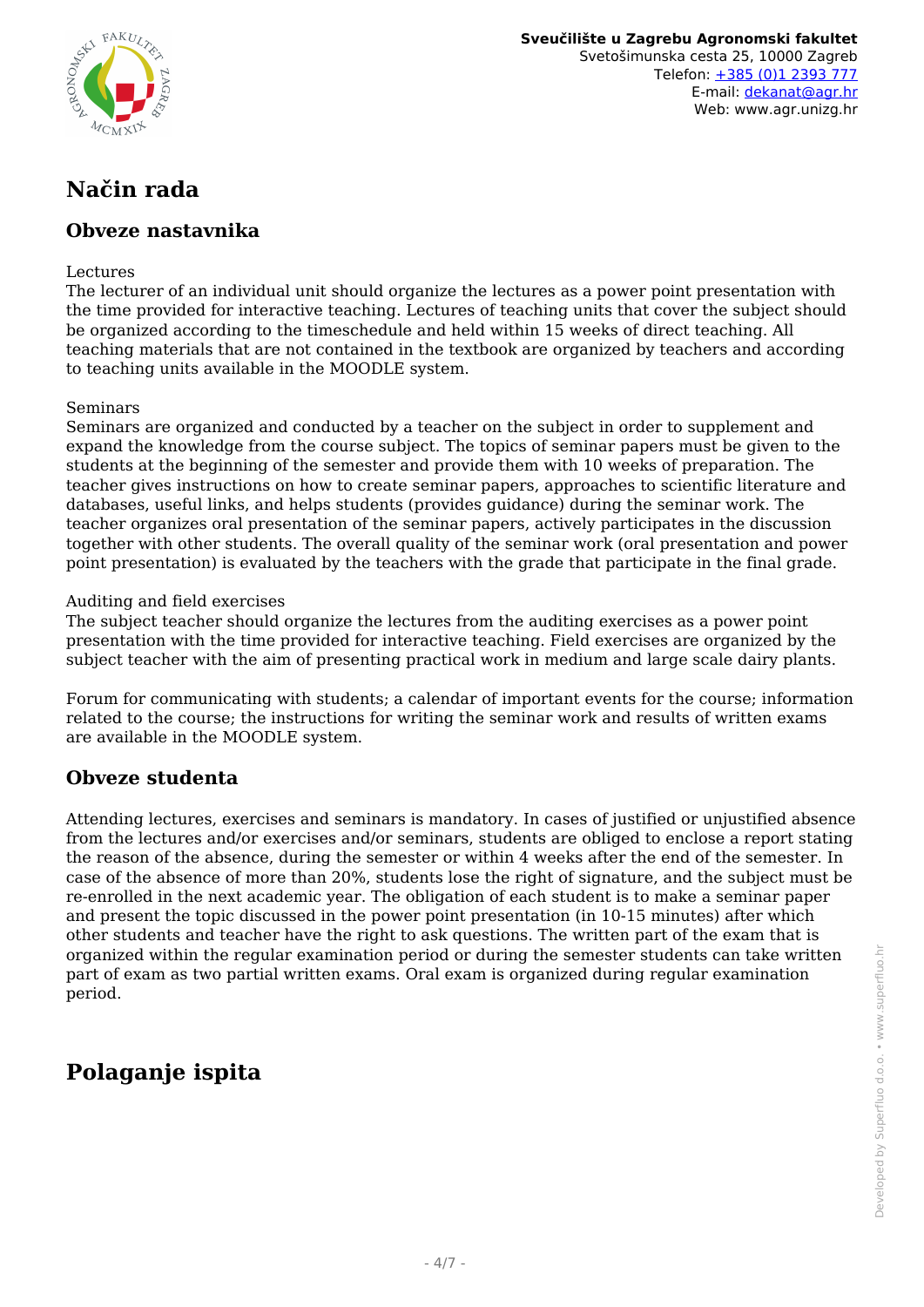

**Sveučilište u Zagrebu Agronomski fakultet** Svetošimunska cesta 25, 10000 Zagreb Telefon: [+385 \(0\)1 2393 777](tel:+38512393777) E-mail: [dekanat@agr.hr](mailto:dekanat@agr.hr) Web: www.agr.unizg.hr

# **Način rada**

### **Obveze nastavnika**

#### Lectures

The lecturer of an individual unit should organize the lectures as a power point presentation with the time provided for interactive teaching. Lectures of teaching units that cover the subject should be organized according to the timeschedule and held within 15 weeks of direct teaching. All teaching materials that are not contained in the textbook are organized by teachers and according to teaching units available in the MOODLE system.

#### Seminars

Seminars are organized and conducted by a teacher on the subject in order to supplement and expand the knowledge from the course subject. The topics of seminar papers must be given to the students at the beginning of the semester and provide them with 10 weeks of preparation. The teacher gives instructions on how to create seminar papers, approaches to scientific literature and databases, useful links, and helps students (provides guidance) during the seminar work. The teacher organizes oral presentation of the seminar papers, actively participates in the discussion together with other students. The overall quality of the seminar work (oral presentation and power point presentation) is evaluated by the teachers with the grade that participate in the final grade.

#### Auditing and field exercises

The subject teacher should organize the lectures from the auditing exercises as a power point presentation with the time provided for interactive teaching. Field exercises are organized by the subject teacher with the aim of presenting practical work in medium and large scale dairy plants.

Forum for communicating with students; a calendar of important events for the course; information related to the course; the instructions for writing the seminar work and results of written exams are available in the MOODLE system.

#### **Obveze studenta**

Attending lectures, exercises and seminars is mandatory. In cases of justified or unjustified absence from the lectures and/or exercises and/or seminars, students are obliged to enclose a report stating the reason of the absence, during the semester or within 4 weeks after the end of the semester. In case of the absence of more than 20%, students lose the right of signature, and the subject must be re-enrolled in the next academic year. The obligation of each student is to make a seminar paper and present the topic discussed in the power point presentation (in 10-15 minutes) after which other students and teacher have the right to ask questions. The written part of the exam that is organized within the regular examination period or during the semester students can take written part of exam as two partial written exams. Oral exam is organized during regular examination period.

## **Polaganje ispita**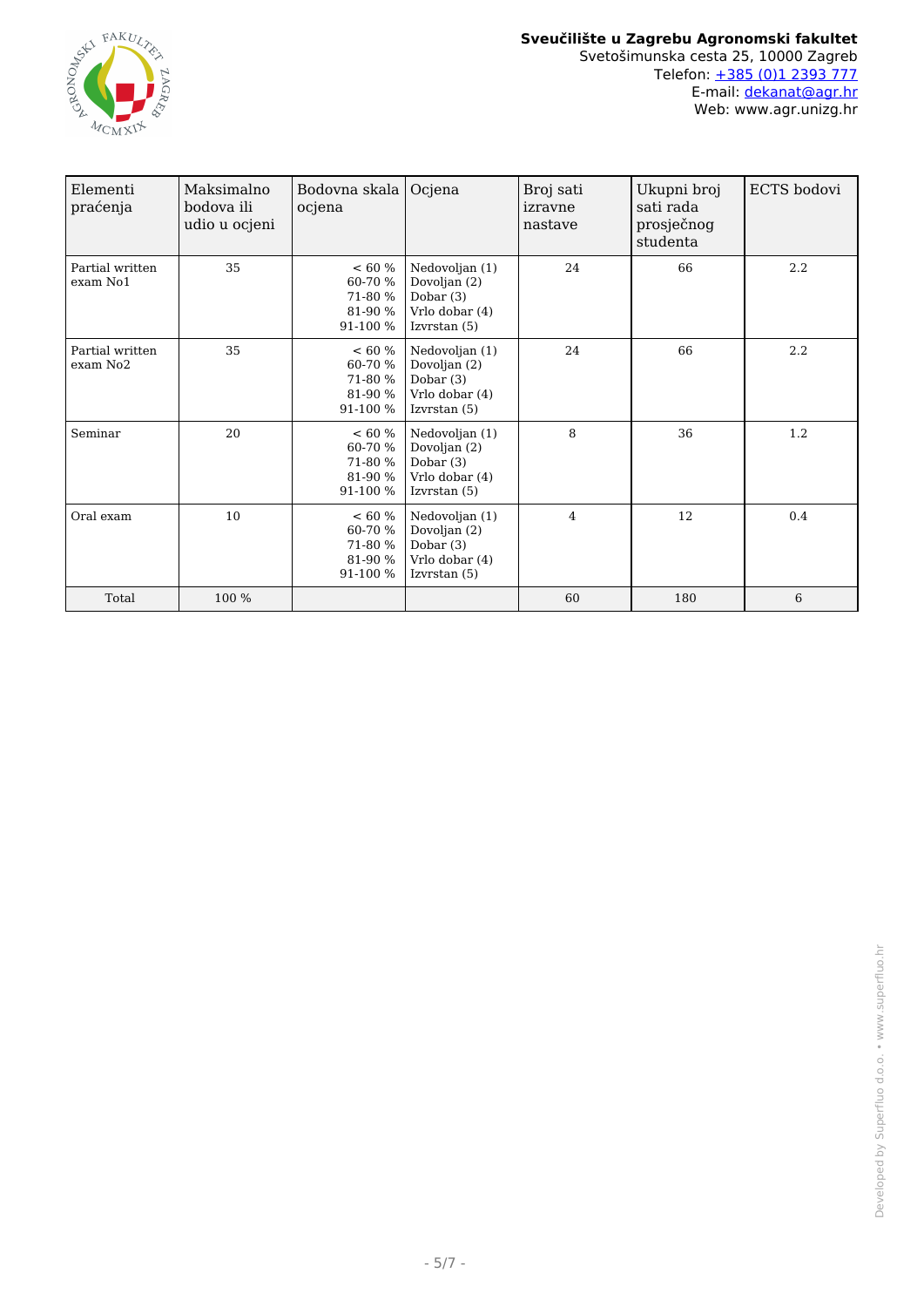

| Elementi<br>praćenja             | Maksimalno<br>bodova ili<br>udio u ocjeni | Bodovna skala<br>ocjena                               | Ocjena                                                                            | Broj sati<br>izravne<br>nastave | Ukupni broj<br>sati rada<br>prosječnog<br>studenta | ECTS bodovi |
|----------------------------------|-------------------------------------------|-------------------------------------------------------|-----------------------------------------------------------------------------------|---------------------------------|----------------------------------------------------|-------------|
| Partial written<br>exam No1      | 35                                        | $< 60\%$<br>60-70 %<br>71-80 %<br>81-90 %<br>91-100 % | Nedovoljan (1)<br>Dovoljan (2)<br>Dobar $(3)$<br>Vrlo dobar (4)<br>Izvrstan $(5)$ | 24                              | 66                                                 | 2.2         |
| Partial written<br>$exam$ No $2$ | 35                                        | $< 60\%$<br>60-70 %<br>71-80 %<br>81-90 %<br>91-100 % | Nedovoljan (1)<br>Dovoljan (2)<br>Dobar $(3)$<br>Vrlo dobar (4)<br>Izvrstan (5)   | 24                              | 66                                                 | 2.2         |
| Seminar                          | 20                                        | < 60 %<br>60-70 %<br>71-80 %<br>81-90 %<br>91-100 %   | Nedovoljan (1)<br>Dovoljan (2)<br>Dobar $(3)$<br>Vrlo dobar (4)<br>Izvrstan $(5)$ | 8                               | 36                                                 | 1.2         |
| Oral exam                        | 10                                        | $< 60\%$<br>60-70 %<br>71-80 %<br>81-90 %<br>91-100 % | Nedovoljan (1)<br>Dovoljan (2)<br>Dobar $(3)$<br>Vrlo dobar (4)<br>Izvrstan $(5)$ | 4                               | 12                                                 | 0.4         |
| Total                            | 100 %                                     |                                                       |                                                                                   | 60                              | 180                                                | 6           |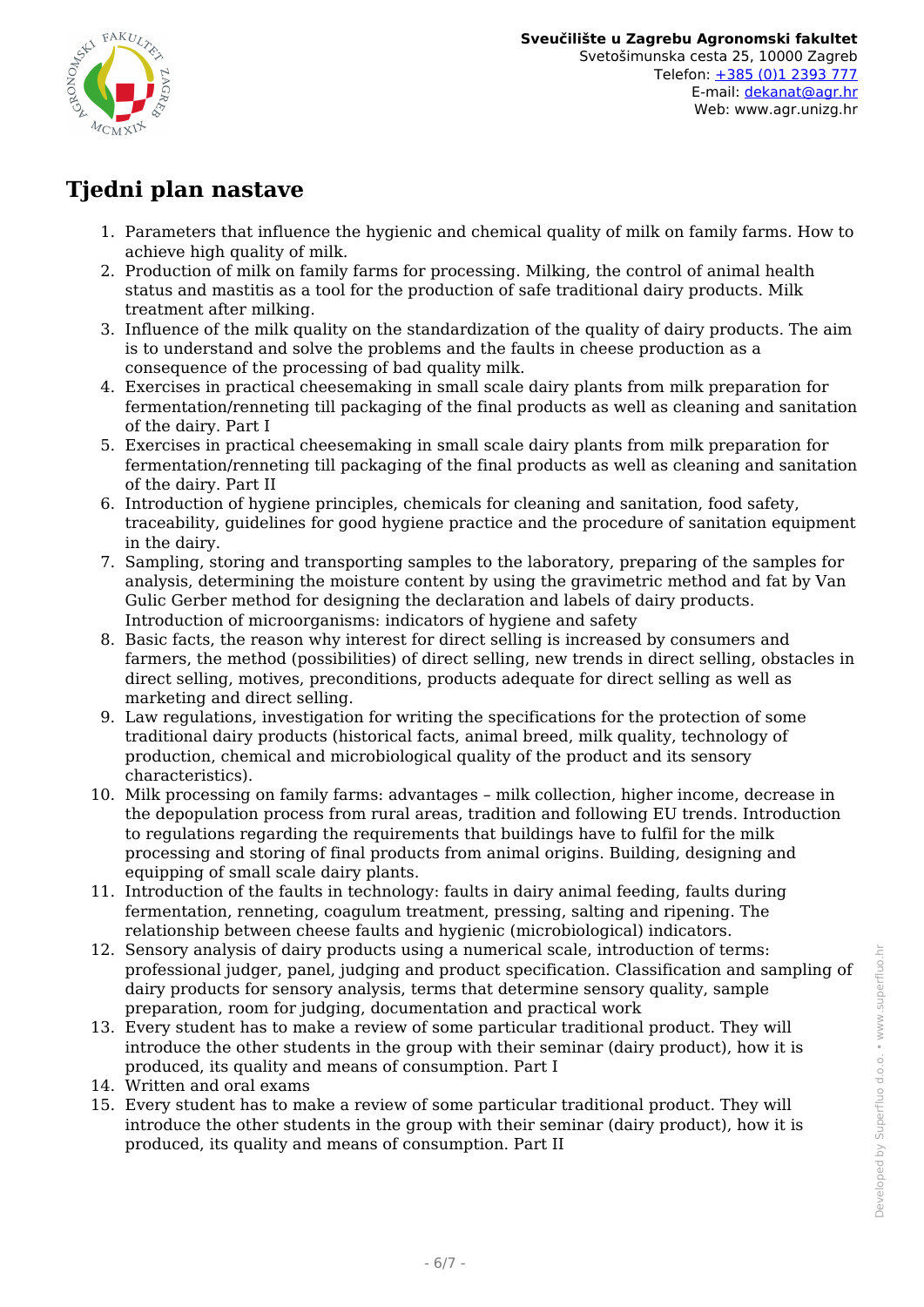

## **Tjedni plan nastave**

- 1. Parameters that influence the hygienic and chemical quality of milk on family farms. How to achieve high quality of milk.
- 2. Production of milk on family farms for processing. Milking, the control of animal health status and mastitis as a tool for the production of safe traditional dairy products. Milk treatment after milking.
- 3. Influence of the milk quality on the standardization of the quality of dairy products. The aim is to understand and solve the problems and the faults in cheese production as a consequence of the processing of bad quality milk.
- 4. Exercises in practical cheesemaking in small scale dairy plants from milk preparation for fermentation/renneting till packaging of the final products as well as cleaning and sanitation of the dairy. Part I
- 5. Exercises in practical cheesemaking in small scale dairy plants from milk preparation for fermentation/renneting till packaging of the final products as well as cleaning and sanitation of the dairy. Part II
- 6. Introduction of hygiene principles, chemicals for cleaning and sanitation, food safety, traceability, guidelines for good hygiene practice and the procedure of sanitation equipment in the dairy.
- 7. Sampling, storing and transporting samples to the laboratory, preparing of the samples for analysis, determining the moisture content by using the gravimetric method and fat by Van Gulic Gerber method for designing the declaration and labels of dairy products. Introduction of microorganisms: indicators of hygiene and safety
- 8. Basic facts, the reason why interest for direct selling is increased by consumers and farmers, the method (possibilities) of direct selling, new trends in direct selling, obstacles in direct selling, motives, preconditions, products adequate for direct selling as well as marketing and direct selling.
- 9. Law regulations, investigation for writing the specifications for the protection of some traditional dairy products (historical facts, animal breed, milk quality, technology of production, chemical and microbiological quality of the product and its sensory characteristics).
- 10. Milk processing on family farms: advantages milk collection, higher income, decrease in the depopulation process from rural areas, tradition and following EU trends. Introduction to regulations regarding the requirements that buildings have to fulfil for the milk processing and storing of final products from animal origins. Building, designing and equipping of small scale dairy plants.
- 11. Introduction of the faults in technology: faults in dairy animal feeding, faults during fermentation, renneting, coagulum treatment, pressing, salting and ripening. The relationship between cheese faults and hygienic (microbiological) indicators.
- 12. Sensory analysis of dairy products using a numerical scale, introduction of terms: professional judger, panel, judging and product specification. Classification and sampling of dairy products for sensory analysis, terms that determine sensory quality, sample preparation, room for judging, documentation and practical work
- 13. Every student has to make a review of some particular traditional product. They will introduce the other students in the group with their seminar (dairy product), how it is produced, its quality and means of consumption. Part I
- 14. Written and oral exams
- 15. Every student has to make a review of some particular traditional product. They will introduce the other students in the group with their seminar (dairy product), how it is produced, its quality and means of consumption. Part II